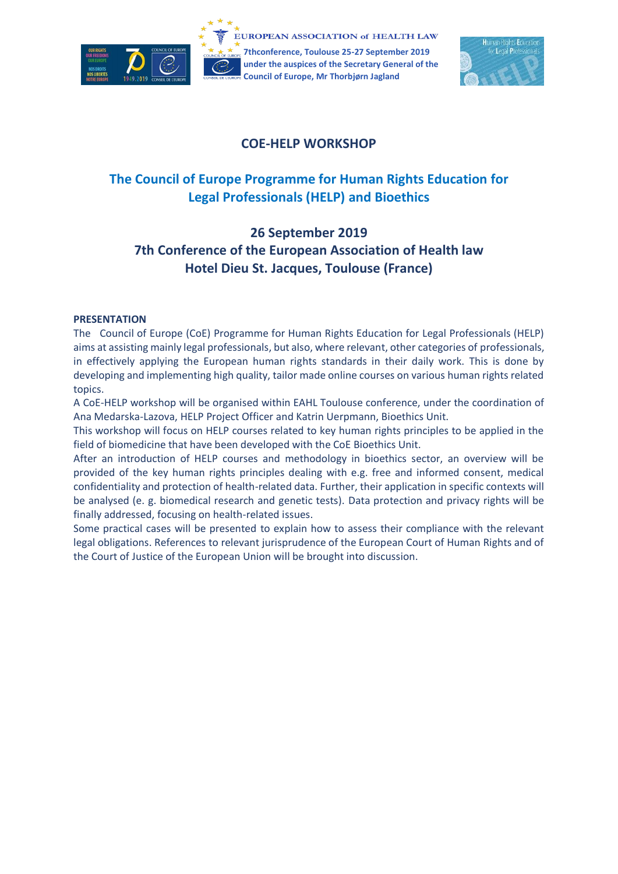

**7thconference, Toulouse 25-27 September 2019 under the auspices of the Secretary General of the Council of Europe, Mr Thorbjørn Jagland**



# **COE-HELP WORKSHOP**

# **The Council of Europe Programme for Human Rights Education for Legal Professionals (HELP) and Bioethics**

# **26 September 2019 7th Conference of the European Association of Health law Hotel Dieu St. Jacques, Toulouse (France)**

#### **PRESENTATION**

The Council of Europe (CoE) Programme for Human Rights Education for Legal Professionals (HELP) aims at assisting mainly legal professionals, but also, where relevant, other categories of professionals, in effectively applying the European human rights standards in their daily work. This is done by developing and implementing high quality, tailor made online courses on various human rights related topics.

A CoE-HELP workshop will be organised within EAHL Toulouse conference, under the coordination of Ana Medarska-Lazova, HELP Project Officer and Katrin Uerpmann, Bioethics Unit.

This workshop will focus on HELP courses related to key human rights principles to be applied in the field of biomedicine that have been developed with the CoE Bioethics Unit.

After an introduction of HELP courses and methodology in bioethics sector, an overview will be provided of the key human rights principles dealing with e.g. free and informed consent, medical confidentiality and protection of health-related data. Further, their application in specific contexts will be analysed (e. g. biomedical research and genetic tests). Data protection and privacy rights will be finally addressed, focusing on health-related issues.

Some practical cases will be presented to explain how to assess their compliance with the relevant legal obligations. References to relevant jurisprudence of the European Court of Human Rights and of the Court of Justice of the European Union will be brought into discussion.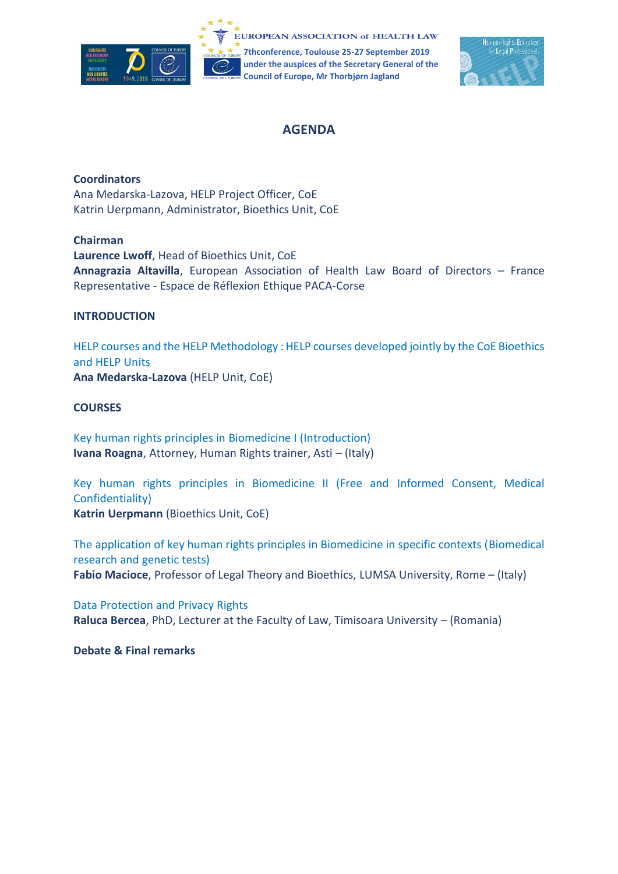



## **AGENDA**

### **Coordinators**

Ana Medarska-Lazova, HELP Project Officer, CoE Katrin Uerpmann, Administrator, Bioethics Unit, CoE

#### **Chairman**

**Laurence Lwoff**, Head of Bioethics Unit, CoE **Annagrazia Altavilla**, European Association of Health Law Board of Directors – France Representative - Espace de Réflexion Ethique PACA-Corse

#### **INTRODUCTION**

[HELP courses](http://help.elearning.ext.coe.int/) and th[e HELP Methodology](https://www.coe.int/en/web/help/help-training-methodology) : HELP courses developed jointly by the CoE Bioethics and HELP Units **Ana Medarska-Lazova** (HELP Unit, CoE)

#### **COURSES**

Key human rights principles in Biomedicine I (Introduction) **Ivana Roagna**, Attorney, Human Rights trainer, Asti – (Italy)

Key human rights principles in Biomedicine II (Free and Informed Consent, Medical Confidentiality) **Katrin Uerpmann** (Bioethics Unit, CoE)

The application of key human rights principles in Biomedicine in specific contexts (Biomedical research and genetic tests) **Fabio Macioce**, Professor of Legal Theory and Bioethics, LUMSA University, Rome – (Italy)

Data Protection and Privacy Rights **Raluca Bercea**, PhD, Lecturer at the Faculty of Law, Timisoara University – (Romania)

#### **Debate & Final remarks**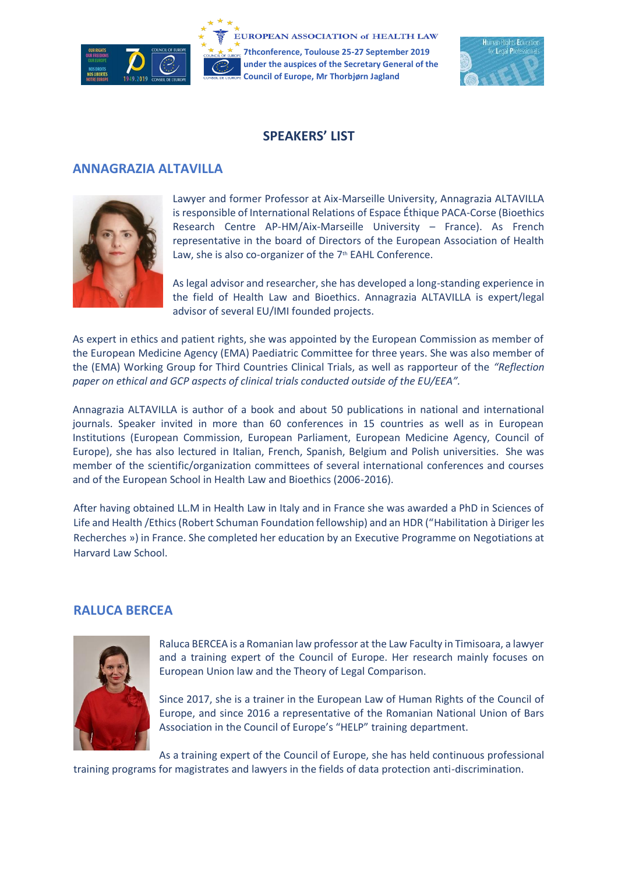

**7thconference, Toulouse 25-27 September 2019 under the auspices of the Secretary General of the Council of Europe, Mr Thorbjørn Jagland**



## **SPEAKERS' LIST**

## **ANNAGRAZIA ALTAVILLA**



Lawyer and former Professor at Aix-Marseille University, Annagrazia ALTAVILLA is responsible of International Relations of Espace Éthique PACA-Corse (Bioethics Research Centre AP-HM/Aix-Marseille University – France). As French representative in the board of Directors of the European Association of Health Law, she is also co-organizer of the  $7<sup>th</sup>$  EAHL Conference.

As legal advisor and researcher, she has developed a long-standing experience in the field of Health Law and Bioethics. Annagrazia ALTAVILLA is expert/legal advisor of several EU/IMI founded projects.

As expert in ethics and patient rights, she was appointed by the European Commission as member of the European Medicine Agency (EMA) Paediatric Committee for three years. She was also member of the (EMA) Working Group for Third Countries Clinical Trials, as well as rapporteur of the *"Reflection paper on ethical and GCP aspects of clinical trials conducted outside of the EU/EEA".*

Annagrazia ALTAVILLA is author of a book and about 50 publications in national and international journals. Speaker invited in more than 60 conferences in 15 countries as well as in European Institutions (European Commission, European Parliament, European Medicine Agency, Council of Europe), she has also lectured in Italian, French, Spanish, Belgium and Polish universities. She was member of the scientific/organization committees of several international conferences and courses and of the European School in Health Law and Bioethics (2006-2016).

After having obtained LL.M in Health Law in Italy and in France she was awarded a PhD in Sciences of Life and Health /Ethics (Robert Schuman Foundation fellowship) and an HDR ("Habilitation à Diriger les Recherches ») in France. She completed her education by an Executive Programme on Negotiations at Harvard Law School.

## **RALUCA BERCEA**



Raluca BERCEA is a Romanian law professor at the Law Faculty in Timisoara, a lawyer and a training expert of the Council of Europe. Her research mainly focuses on European Union law and the Theory of Legal Comparison.

Since 2017, she is a trainer in the European Law of Human Rights of the Council of Europe, and since 2016 a representative of the Romanian National Union of Bars Association in the Council of Europe's "HELP" training department.

As a training expert of the Council of Europe, she has held continuous professional training programs for magistrates and lawyers in the fields of data protection anti-discrimination.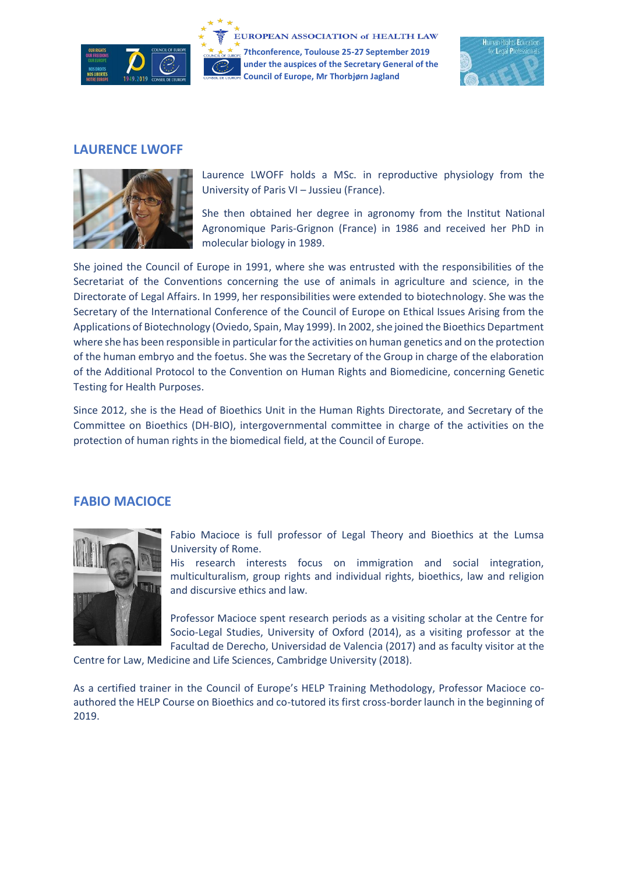

**7thconference, Toulouse 25-27 September 2019 under the auspices of the Secretary General of the Council of Europe, Mr Thorbjørn Jagland**



## **LAURENCE LWOFF**



Laurence LWOFF holds a MSc. in reproductive physiology from the University of Paris VI – Jussieu (France).

She then obtained her degree in agronomy from the Institut National Agronomique Paris-Grignon (France) in 1986 and received her PhD in molecular biology in 1989.

She joined the Council of Europe in 1991, where she was entrusted with the responsibilities of the Secretariat of the Conventions concerning the use of animals in agriculture and science, in the Directorate of Legal Affairs. In 1999, her responsibilities were extended to biotechnology. She was the Secretary of the International Conference of the Council of Europe on Ethical Issues Arising from the Applications of Biotechnology (Oviedo, Spain, May 1999). In 2002, she joined the Bioethics Department where she has been responsible in particular for the activities on human genetics and on the protection of the human embryo and the foetus. She was the Secretary of the Group in charge of the elaboration of the Additional Protocol to the Convention on Human Rights and Biomedicine, concerning Genetic Testing for Health Purposes.

Since 2012, she is the Head of Bioethics Unit in the Human Rights Directorate, and Secretary of the Committee on Bioethics (DH-BIO), intergovernmental committee in charge of the activities on the protection of human rights in the biomedical field, at the Council of Europe.

## **FABIO MACIOCE**



Fabio Macioce is full professor of Legal Theory and Bioethics at the Lumsa University of Rome.

His research interests focus on immigration and social integration, multiculturalism, group rights and individual rights, bioethics, law and religion and discursive ethics and law.

Professor Macioce spent research periods as a visiting scholar at the Centre for Socio-Legal Studies, University of Oxford (2014), as a visiting professor at the Facultad de Derecho, Universidad de Valencia (2017) and as faculty visitor at the

Centre for Law, Medicine and Life Sciences, Cambridge University (2018).

As a certified trainer in the Council of Europe's HELP Training Methodology, Professor Macioce coauthored the HELP Course on Bioethics and co-tutored its first cross-border launch in the beginning of 2019.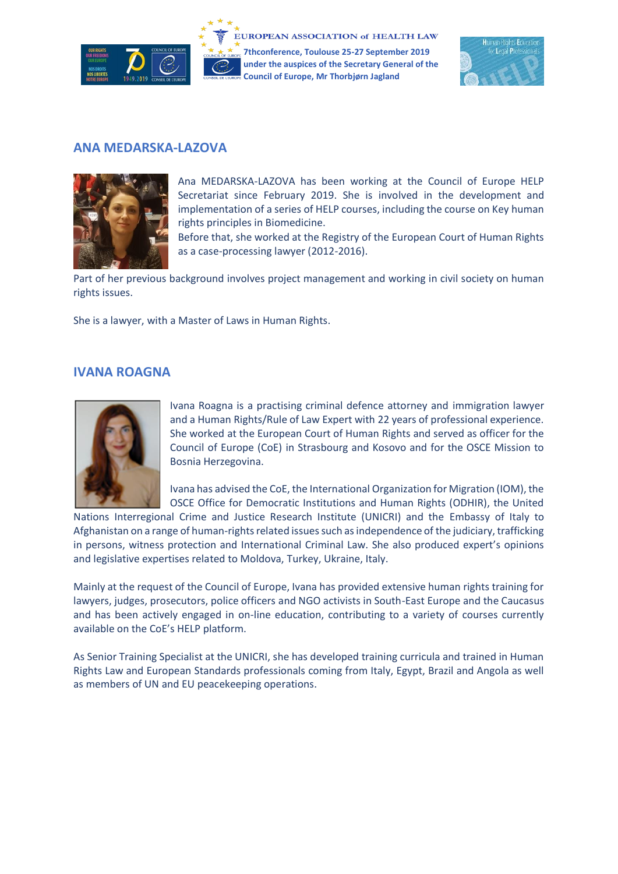

**7thconference, Toulouse 25-27 September 2019 under the auspices of the Secretary General of the Council of Europe, Mr Thorbjørn Jagland**



## **ANA MEDARSKA-LAZOVA**



Ana MEDARSKA-LAZOVA has been working at the Council of Europe HELP Secretariat since February 2019. She is involved in the development and implementation of a series of HELP courses, including the course on Key human rights principles in Biomedicine.

Before that, she worked at the Registry of the European Court of Human Rights as a case-processing lawyer (2012-2016).

Part of her previous background involves project management and working in civil society on human rights issues.

She is a lawyer, with a Master of Laws in Human Rights.

## **IVANA ROAGNA**



Ivana Roagna is a practising criminal defence attorney and immigration lawyer and a Human Rights/Rule of Law Expert with 22 years of professional experience. She worked at the European Court of Human Rights and served as officer for the Council of Europe (CoE) in Strasbourg and Kosovo and for the OSCE Mission to Bosnia Herzegovina.

Ivana has advised the CoE, the International Organization for Migration (IOM), the OSCE Office for Democratic Institutions and Human Rights (ODHIR), the United

Nations Interregional Crime and Justice Research Institute (UNICRI) and the Embassy of Italy to Afghanistan on a range of human-rights related issues such as independence of the judiciary, trafficking in persons, witness protection and International Criminal Law. She also produced expert's opinions and legislative expertises related to Moldova, Turkey, Ukraine, Italy.

Mainly at the request of the Council of Europe, Ivana has provided extensive human rights training for lawyers, judges, prosecutors, police officers and NGO activists in South-East Europe and the Caucasus and has been actively engaged in on-line education, contributing to a variety of courses currently available on the CoE's HELP platform.

As Senior Training Specialist at the UNICRI, she has developed training curricula and trained in Human Rights Law and European Standards professionals coming from Italy, Egypt, Brazil and Angola as well as members of UN and EU peacekeeping operations.